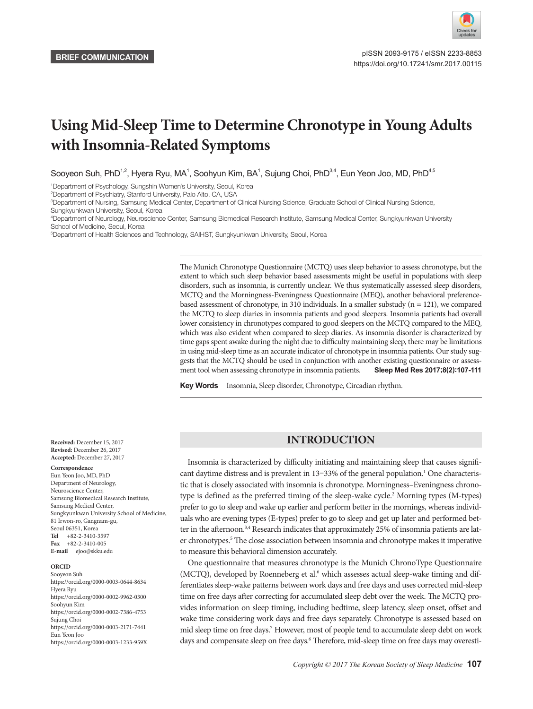

# **Using Mid-Sleep Time to Determine Chronotype in Young Adults with Insomnia-Related Symptoms**

Sooyeon Suh, PhD $^{1,2}$ , Hyera Ryu, MA $^1$ , Soohyun Kim, BA $^1$ , Sujung Choi, PhD $^{3,4}$ , Eun Yeon Joo, MD, PhD $^{4,5}$ 

1 Department of Psychology, Sungshin Women's University, Seoul, Korea

2 Department of Psychiatry, Stanford University, Palo Alto, CA, USA

3 Department of Nursing, Samsung Medical Center, Department of Clinical Nursing Science, Graduate School of Clinical Nursing Science,

Sungkyunkwan University, Seoul, Korea

4 Department of Neurology, Neuroscience Center, Samsung Biomedical Research Institute, Samsung Medical Center, Sungkyunkwan University School of Medicine, Seoul, Korea

5 Department of Health Sciences and Technology, SAIHST, Sungkyunkwan University, Seoul, Korea

The Munich Chronotype Questionnaire (MCTQ) uses sleep behavior to assess chronotype, but the extent to which such sleep behavior based assessments might be useful in populations with sleep disorders, such as insomnia, is currently unclear. We thus systematically assessed sleep disorders, MCTQ and the Morningness-Eveningness Questionnaire (MEQ), another behavioral preferencebased assessment of chronotype, in 310 individuals. In a smaller substudy  $(n = 121)$ , we compared the MCTQ to sleep diaries in insomnia patients and good sleepers. Insomnia patients had overall lower consistency in chronotypes compared to good sleepers on the MCTQ compared to the MEQ, which was also evident when compared to sleep diaries. As insomnia disorder is characterized by time gaps spent awake during the night due to difficulty maintaining sleep, there may be limitations in using mid-sleep time as an accurate indicator of chronotype in insomnia patients. Our study suggests that the MCTQ should be used in conjunction with another existing questionnaire or assessment tool when assessing chronotype in insomnia patients. **Sleep Med Res 2017;8(2):107-111**

Key Words Insomnia, Sleep disorder, Chronotype, Circadian rhythm.

# **INTRODUCTION**

Insomnia is characterized by difficulty initiating and maintaining sleep that causes significant daytime distress and is prevalent in 13-33% of the general population.<sup>1</sup> One characteristic that is closely associated with insomnia is chronotype. Morningness–Eveningness chronotype is defined as the preferred timing of the sleep-wake cycle.<sup>2</sup> Morning types (M-types) prefer to go to sleep and wake up earlier and perform better in the mornings, whereas individuals who are evening types (E-types) prefer to go to sleep and get up later and performed better in the afternoon.<sup>3,4</sup> Research indicates that approximately 25% of insomnia patients are later chronotypes.<sup>5</sup> The close association between insomnia and chronotype makes it imperative to measure this behavioral dimension accurately.

One questionnaire that measures chronotype is the Munich ChronoType Questionnaire (MCTQ), developed by Roenneberg et al.<sup>6</sup> which assesses actual sleep-wake timing and differentiates sleep-wake patterns between work days and free days and uses corrected mid-sleep time on free days after correcting for accumulated sleep debt over the week. The MCTQ provides information on sleep timing, including bedtime, sleep latency, sleep onset, offset and wake time considering work days and free days separately. Chronotype is assessed based on mid sleep time on free days.<sup>7</sup> However, most of people tend to accumulate sleep debt on work days and compensate sleep on free days.<sup>6</sup> Therefore, mid-sleep time on free days may overesti-

**Received:** December 15, 2017 **Revised:** December 26, 2017 **Accepted:** December 27, 2017

#### **Correspondence**

Eun Yeon Joo, MD, PhD Department of Neurology, Neuroscience Center, Samsung Biomedical Research Institute, Samsung Medical Center, Sungkyunkwan University School of Medicine, 81 Irwon-ro, Gangnam-gu, Seoul 06351, Korea **Tel** +82-2-3410-3597 **Fax** +82-2-3410-005 **E-mail** ejoo@skku.edu

#### **ORCID**

Sooyeon Suh https://orcid.org/0000-0003-0644-8634 Hyera Ryu https://orcid.org/0000-0002-9962-0300 Soohyun Kim https://orcid.org/0000-0002-7386-4753 Sujung Choi https://orcid.org/0000-0003-2171-7441 Eun Yeon Joo https://orcid.org/0000-0003-1233-959X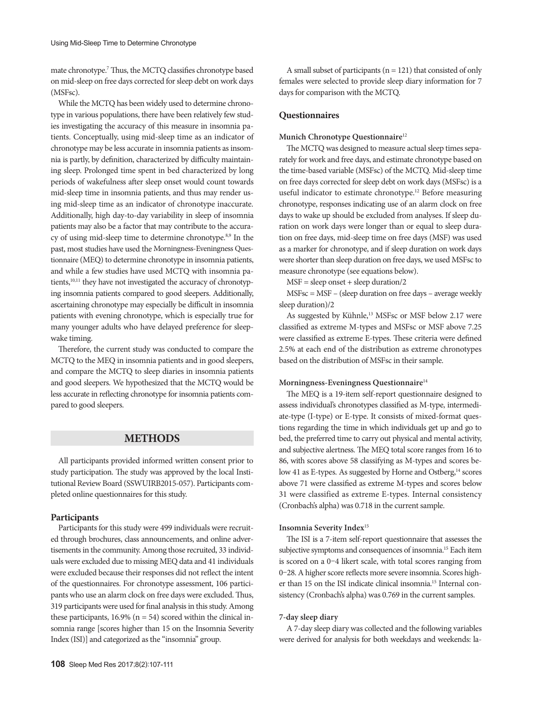mate chronotype.7 Thus, the MCTQ classifies chronotype based on mid-sleep on free days corrected for sleep debt on work days (MSFsc).

While the MCTQ has been widely used to determine chronotype in various populations, there have been relatively few studies investigating the accuracy of this measure in insomnia patients. Conceptually, using mid-sleep time as an indicator of chronotype may be less accurate in insomnia patients as insomnia is partly, by definition, characterized by difficulty maintaining sleep. Prolonged time spent in bed characterized by long periods of wakefulness after sleep onset would count towards mid-sleep time in insomnia patients, and thus may render using mid-sleep time as an indicator of chronotype inaccurate. Additionally, high day-to-day variability in sleep of insomnia patients may also be a factor that may contribute to the accuracy of using mid-sleep time to determine chronotype.<sup>8,9</sup> In the past, most studies have used the Morningness-Eveningness Questionnaire (MEQ) to determine chronotype in insomnia patients, and while a few studies have used MCTQ with insomnia patients,<sup>10,11</sup> they have not investigated the accuracy of chronotyping insomnia patients compared to good sleepers. Additionally, ascertaining chronotype may especially be difficult in insomnia patients with evening chronotype, which is especially true for many younger adults who have delayed preference for sleepwake timing.

Therefore, the current study was conducted to compare the MCTQ to the MEQ in insomnia patients and in good sleepers, and compare the MCTQ to sleep diaries in insomnia patients and good sleepers. We hypothesized that the MCTQ would be less accurate in reflecting chronotype for insomnia patients compared to good sleepers.

# **METHODS**

All participants provided informed written consent prior to study participation. The study was approved by the local Institutional Review Board (SSWUIRB2015-057). Participants completed online questionnaires for this study.

#### **Participants**

Participants for this study were 499 individuals were recruited through brochures, class announcements, and online advertisements in the community. Among those recruited, 33 individuals were excluded due to missing MEQ data and 41 individuals were excluded because their responses did not reflect the intent of the questionnaires. For chronotype assessment, 106 participants who use an alarm clock on free days were excluded. Thus, 319 participants were used for final analysis in this study. Among these participants,  $16.9\%$  (n = 54) scored within the clinical insomnia range [scores higher than 15 on the Insomnia Severity Index (ISI)] and categorized as the "insomnia" group.

A small subset of participants  $(n = 121)$  that consisted of only females were selected to provide sleep diary information for 7 days for comparison with the MCTQ.

## **Questionnaires**

#### **Munich Chronotype Questionnaire**<sup>12</sup>

The MCTQ was designed to measure actual sleep times separately for work and free days, and estimate chronotype based on the time-based variable (MSFsc) of the MCTQ. Mid-sleep time on free days corrected for sleep debt on work days (MSFsc) is a useful indicator to estimate chronotype.12 Before measuring chronotype, responses indicating use of an alarm clock on free days to wake up should be excluded from analyses. If sleep duration on work days were longer than or equal to sleep duration on free days, mid-sleep time on free days (MSF) was used as a marker for chronotype, and if sleep duration on work days were shorter than sleep duration on free days, we used MSFsc to measure chronotype (see equations below).

 $MSF = sleep onset + sleep duration/2$ 

MSFsc = MSF – (sleep duration on free days – average weekly sleep duration)/2

As suggested by Kühnle,<sup>13</sup> MSFsc or MSF below 2.17 were classified as extreme M-types and MSFsc or MSF above 7.25 were classified as extreme E-types. These criteria were defined 2.5% at each end of the distribution as extreme chronotypes based on the distribution of MSFsc in their sample.

#### **Morningness-Eveningness Questionnaire**<sup>14</sup>

The MEQ is a 19-item self-report questionnaire designed to assess individual's chronotypes classified as M-type, intermediate-type (I-type) or E-type. It consists of mixed-format questions regarding the time in which individuals get up and go to bed, the preferred time to carry out physical and mental activity, and subjective alertness. The MEQ total score ranges from 16 to 86, with scores above 58 classifying as M-types and scores below 41 as E-types. As suggested by Horne and Ostberg,<sup>14</sup> scores above 71 were classified as extreme M-types and scores below 31 were classified as extreme E-types. Internal consistency (Cronbach's alpha) was 0.718 in the current sample.

## **Insomnia Severity Index**<sup>15</sup>

The ISI is a 7-item self-report questionnaire that assesses the subjective symptoms and consequences of insomnia.15 Each item is scored on a 0–4 likert scale, with total scores ranging from 0–28. A higher score reflects more severe insomnia. Scores higher than 15 on the ISI indicate clinical insomnia.15 Internal consistency (Cronbach's alpha) was 0.769 in the current samples.

#### **7-day sleep diary**

A 7-day sleep diary was collected and the following variables were derived for analysis for both weekdays and weekends: la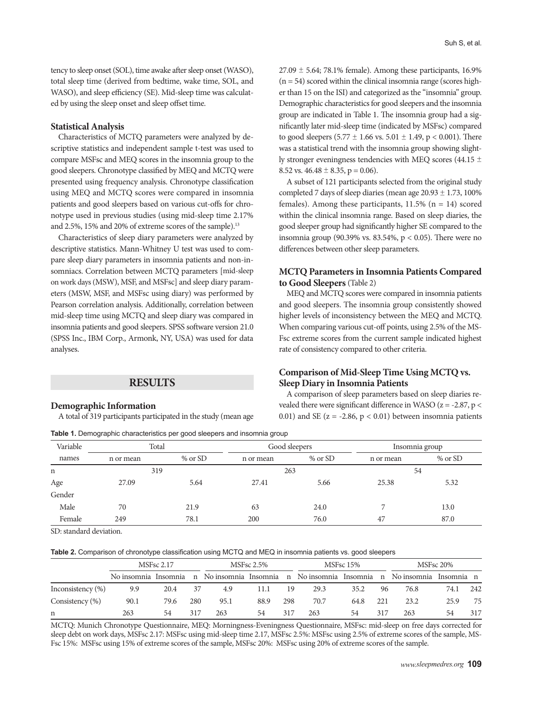tency to sleep onset (SOL), time awake after sleep onset (WASO), total sleep time (derived from bedtime, wake time, SOL, and WASO), and sleep efficiency (SE). Mid-sleep time was calculated by using the sleep onset and sleep offset time.

#### **Statistical Analysis**

Characteristics of MCTQ parameters were analyzed by descriptive statistics and independent sample t-test was used to compare MSFsc and MEQ scores in the insomnia group to the good sleepers. Chronotype classified by MEQ and MCTQ were presented using frequency analysis. Chronotype classification using MEQ and MCTQ scores were compared in insomnia patients and good sleepers based on various cut-offs for chronotype used in previous studies (using mid-sleep time 2.17% and 2.5%, 15% and 20% of extreme scores of the sample).<sup>13</sup>

Characteristics of sleep diary parameters were analyzed by descriptive statistics. Mann-Whitney U test was used to compare sleep diary parameters in insomnia patients and non-insomniacs. Correlation between MCTQ parameters [mid-sleep on work days (MSW), MSF, and MSFsc] and sleep diary parameters (MSW, MSF, and MSFsc using diary) was performed by Pearson correlation analysis. Additionally, correlation between mid-sleep time using MCTQ and sleep diary was compared in insomnia patients and good sleepers. SPSS software version 21.0 (SPSS Inc., IBM Corp., Armonk, NY, USA) was used for data analyses.

### **RESULTS**

#### **Demographic Information**

A total of 319 participants participated in the study (mean age

**Table 1.** Demographic characteristics per good sleepers and insomnia group

 $27.09 \pm 5.64$ ; 78.1% female). Among these participants, 16.9%  $(n = 54)$  scored within the clinical insomnia range (scores higher than 15 on the ISI) and categorized as the "insomnia" group. Demographic characteristics for good sleepers and the insomnia group are indicated in Table 1. The insomnia group had a significantly later mid-sleep time (indicated by MSFsc) compared to good sleepers  $(5.77 \pm 1.66 \text{ vs. } 5.01 \pm 1.49, \text{ p} < 0.001)$ . There was a statistical trend with the insomnia group showing slightly stronger eveningness tendencies with MEQ scores (44.15 ± 8.52 vs.  $46.48 \pm 8.35$ , p = 0.06).

A subset of 121 participants selected from the original study completed 7 days of sleep diaries (mean age  $20.93 \pm 1.73$ , 100% females). Among these participants,  $11.5\%$  (n = 14) scored within the clinical insomnia range. Based on sleep diaries, the good sleeper group had significantly higher SE compared to the insomnia group (90.39% vs. 83.54%,  $p < 0.05$ ). There were no differences between other sleep parameters.

## **MCTQ Parameters in Insomnia Patients Compared to Good Sleepers** (Table 2)

MEQ and MCTQ scores were compared in insomnia patients and good sleepers. The insomnia group consistently showed higher levels of inconsistency between the MEQ and MCTQ. When comparing various cut-off points, using 2.5% of the MS-Fsc extreme scores from the current sample indicated highest rate of consistency compared to other criteria.

## **Comparison of Mid-Sleep Time Using MCTQ vs. Sleep Diary in Insomnia Patients**

A comparison of sleep parameters based on sleep diaries revealed there were significant difference in WASO ( $z = -2.87$ ,  $p <$ 0.01) and SE ( $z = -2.86$ ,  $p < 0.01$ ) between insomnia patients

| Variable    | Total     |           | Good sleepers |               | Insomnia group |           |  |  |
|-------------|-----------|-----------|---------------|---------------|----------------|-----------|--|--|
| names       | n or mean | $%$ or SD | n or mean     | $%$ or SD     | n or mean      | $%$ or SD |  |  |
| $\mathbf n$ | 319       |           | 263           |               |                | 54        |  |  |
| Age         | 27.09     | 5.64      |               | 27.41<br>5.66 |                | 5.32      |  |  |
| Gender      |           |           |               |               |                |           |  |  |
| Male        | 70        | 21.9      | 63            | 24.0          |                | 13.0      |  |  |
| Female      | 249       | 78.1      | 200           | 76.0          | 47             | 87.0      |  |  |

SD: standard deviation.

**Table 2.** Comparison of chronotype classification using MCTQ and MEQ in insomnia patients vs. good sleepers

|                      |      | <b>MSFsc 2.17</b> | MSFsc 2.5% |      |      |     | MSFsc 15% | MSFsc 20% |     |                                                                                             |      |     |
|----------------------|------|-------------------|------------|------|------|-----|-----------|-----------|-----|---------------------------------------------------------------------------------------------|------|-----|
|                      |      |                   |            |      |      |     |           |           |     | No insomnia Insomnia n No insomnia Insomnia n No insomnia Insomnia n No insomnia Insomnia n |      |     |
| Inconsistency $(\%)$ | 9.9  | 20.4              | 37         | 4.9  | 11.1 | 19  | 29.3      | 35.2      | 96  | 76.8                                                                                        | 74.1 | 242 |
| Consistency $(\% )$  | 90.1 | 79.6              | 280        | 95.1 | 88.9 | 298 | 70.7      | 64.8      | 221 | 23.2                                                                                        | 25.9 | 75  |
| n                    | 263  | 54                | 317        | 263  | 54   | 317 | 263       | 54        | 317 | 263                                                                                         | 54   | 317 |

MCTQ: Munich Chronotype Questionnaire, MEQ: Morningness-Eveningness Questionnaire, MSFsc: mid-sleep on free days corrected for sleep debt on work days, MSFsc 2.17: MSFsc using mid-sleep time 2.17, MSFsc 2.5%: MSFsc using 2.5% of extreme scores of the sample, MS-Fsc 15%: MSFsc using 15% of extreme scores of the sample, MSFsc 20%: MSFsc using 20% of extreme scores of the sample.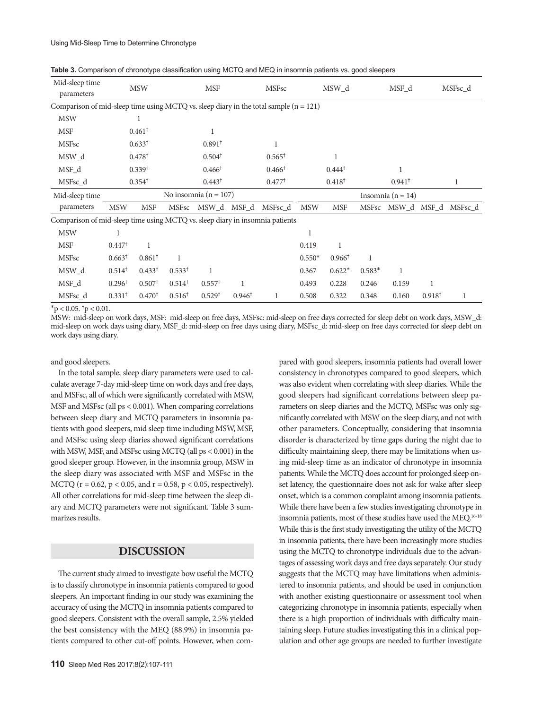#### Using Mid-Sleep Time to Determine Chronotype

| Mid-sleep time<br>parameters                                                            | <b>MSW</b>        |                    | <b>MSF</b>        |                         |       | <b>MSFsc</b>      | MSW d               |                   | MSF d             |  | MSFsc d |                           |
|-----------------------------------------------------------------------------------------|-------------------|--------------------|-------------------|-------------------------|-------|-------------------|---------------------|-------------------|-------------------|--|---------|---------------------------|
| Comparison of mid-sleep time using MCTQ vs. sleep diary in the total sample $(n = 121)$ |                   |                    |                   |                         |       |                   |                     |                   |                   |  |         |                           |
| <b>MSW</b>                                                                              |                   |                    |                   |                         |       |                   |                     |                   |                   |  |         |                           |
| <b>MSF</b>                                                                              |                   | $0.461^+$          |                   |                         |       |                   |                     |                   |                   |  |         |                           |
| <b>MSFsc</b>                                                                            |                   | $0.633^{\dagger}$  |                   | 0.891 <sup>†</sup>      |       |                   |                     |                   |                   |  |         |                           |
| MSW d                                                                                   |                   | 0.478 <sup>†</sup> |                   | $0.504^{\dagger}$       |       | $0.565^{\dagger}$ |                     |                   |                   |  |         |                           |
| MSF d                                                                                   |                   | 0.339 <sup>†</sup> |                   | $0.466^{\dagger}$       |       | $0.466^{\dagger}$ |                     | $0.444^{\dagger}$ |                   |  |         |                           |
| MSFsc_d                                                                                 |                   | $0.354^{\dagger}$  |                   | $0.443^{\dagger}$       |       | $0.477^{\dagger}$ | $0.418^{\dagger}$   |                   | $0.941^{\dagger}$ |  |         | 1                         |
| Mid-sleep time                                                                          |                   |                    |                   | No insomnia $(n = 107)$ |       |                   | Insomnia $(n = 14)$ |                   |                   |  |         |                           |
| parameters                                                                              | <b>MSW</b>        | <b>MSF</b>         | <b>MSFsc</b>      | MSW_d                   | MSF d | MSFsc_d           | <b>MSW</b>          | <b>MSF</b>        |                   |  |         | MSFsc MSW d MSF d MSFsc d |
| Comparison of mid-sleep time using MCTQ vs. sleep diary in insomnia patients            |                   |                    |                   |                         |       |                   |                     |                   |                   |  |         |                           |
| <b>MSW</b>                                                                              |                   |                    |                   |                         |       |                   |                     |                   |                   |  |         |                           |
| <b>MSF</b>                                                                              | $0.447^{\dagger}$ | 1                  |                   |                         |       |                   | 0.419               | 1                 |                   |  |         |                           |
| <b>MSFsc</b>                                                                            | $0.663^{\dagger}$ | $0.861^+$          | 1                 |                         |       |                   | $0.550*$            | $0.966^{\dagger}$ | $\mathbf{1}$      |  |         |                           |
| MSW_d                                                                                   | $0.514^{\dagger}$ | $0.433^{\dagger}$  | $0.533^{\dagger}$ |                         |       |                   | 0.367               | $0.622*$          | $0.583*$          |  |         |                           |

|  |  | Table 3. Comparison of chronotype classification using MCTQ and MEQ in insomnia patients vs. good sleepers |  |  |  |  |  |  |  |
|--|--|------------------------------------------------------------------------------------------------------------|--|--|--|--|--|--|--|
|--|--|------------------------------------------------------------------------------------------------------------|--|--|--|--|--|--|--|

 $*$ p < 0.05. <sup>†</sup>p < 0.01.

MSW: mid-sleep on work days, MSF: mid-sleep on free days, MSFsc: mid-sleep on free days corrected for sleep debt on work days, MSW\_d: mid-sleep on work days using diary, MSF\_d: mid-sleep on free days using diary, MSFsc\_d: mid-sleep on free days corrected for sleep debt on work days using diary.

MSFsc\_d 0.331† 0.470† 0.516† 0.529† 0.946† 1 0.508 0.322 0.348 0.160 0.918† 1

MSF\_d 0.296† 0.507† 0.514† 0.557† 1 0.493 0.228 0.246 0.159 1

and good sleepers.

In the total sample, sleep diary parameters were used to calculate average 7-day mid-sleep time on work days and free days, and MSFsc, all of which were significantly correlated with MSW, MSF and MSFsc (all ps < 0.001). When comparing correlations between sleep diary and MCTQ parameters in insomnia patients with good sleepers, mid sleep time including MSW, MSF, and MSFsc using sleep diaries showed significant correlations with MSW, MSF, and MSFsc using MCTQ (all ps < 0.001) in the good sleeper group. However, in the insomnia group, MSW in the sleep diary was associated with MSF and MSFsc in the MCTQ ( $r = 0.62$ ,  $p < 0.05$ , and  $r = 0.58$ ,  $p < 0.05$ , respectively). All other correlations for mid-sleep time between the sleep diary and MCTQ parameters were not significant. Table 3 summarizes results.

## **DISCUSSION**

The current study aimed to investigate how useful the MCTQ is to classify chronotype in insomnia patients compared to good sleepers. An important finding in our study was examining the accuracy of using the MCTQ in insomnia patients compared to good sleepers. Consistent with the overall sample, 2.5% yielded the best consistency with the MEQ (88.9%) in insomnia patients compared to other cut-off points. However, when compared with good sleepers, insomnia patients had overall lower consistency in chronotypes compared to good sleepers, which was also evident when correlating with sleep diaries. While the good sleepers had significant correlations between sleep parameters on sleep diaries and the MCTQ, MSFsc was only significantly correlated with MSW on the sleep diary, and not with other parameters. Conceptually, considering that insomnia disorder is characterized by time gaps during the night due to difficulty maintaining sleep, there may be limitations when using mid-sleep time as an indicator of chronotype in insomnia patients. While the MCTQ does account for prolonged sleep onset latency, the questionnaire does not ask for wake after sleep onset, which is a common complaint among insomnia patients. While there have been a few studies investigating chronotype in insomnia patients, most of these studies have used the MEQ.16-18 While this is the first study investigating the utility of the MCTQ in insomnia patients, there have been increasingly more studies using the MCTQ to chronotype individuals due to the advantages of assessing work days and free days separately. Our study suggests that the MCTQ may have limitations when administered to insomnia patients, and should be used in conjunction with another existing questionnaire or assessment tool when categorizing chronotype in insomnia patients, especially when there is a high proportion of individuals with difficulty maintaining sleep. Future studies investigating this in a clinical population and other age groups are needed to further investigate